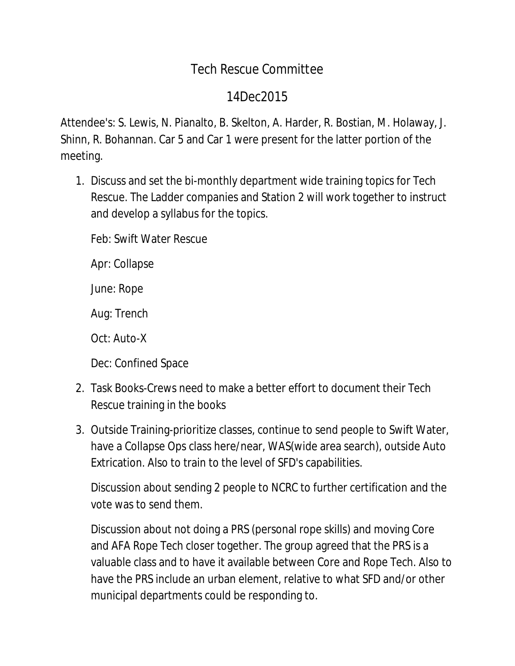## Tech Rescue Committee

## 14Dec2015

Attendee's: S. Lewis, N. Pianalto, B. Skelton, A. Harder, R. Bostian, M. Holaway, J. Shinn, R. Bohannan. Car 5 and Car 1 were present for the latter portion of the meeting.

1. Discuss and set the bi-monthly department wide training topics for Tech Rescue. The Ladder companies and Station 2 will work together to instruct and develop a syllabus for the topics.

Feb: Swift Water Rescue

Apr: Collapse

June: Rope

Aug: Trench

Oct: Auto-X

Dec: Confined Space

- 2. Task Books-Crews need to make a better effort to document their Tech Rescue training in the books
- 3. Outside Training-prioritize classes, continue to send people to Swift Water, have a Collapse Ops class here/near, WAS(wide area search), outside Auto Extrication. Also to train to the level of SFD's capabilities.

Discussion about sending 2 people to NCRC to further certification and the vote was to send them.

Discussion about not doing a PRS (personal rope skills) and moving Core and AFA Rope Tech closer together. The group agreed that the PRS is a valuable class and to have it available between Core and Rope Tech. Also to have the PRS include an urban element, relative to what SFD and/or other municipal departments could be responding to.